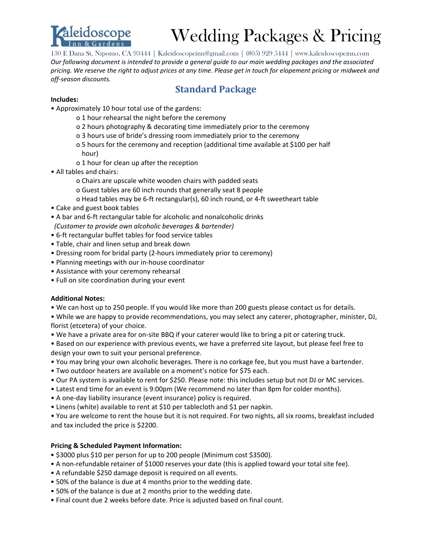

# Wedding Packages & Pricing

130 E Dana St, Nipomo, CA 93444 | Kaleidoscopeinn@gmail.com | (805) 929 5444 | www.kaleidoscopeinn.com *Our following document is intended to provide a general guide to our main wedding packages and the associated pricing. We reserve the right to adjust prices at any time. Please get in touch for elopement pricing or midweek and off-season discounts.* 

### **Standard Package**

### **Includes:**

- Approximately 10 hour total use of the gardens:
	- o 1 hour rehearsal the night before the ceremony
	- o 2 hours photography & decorating time immediately prior to the ceremony
	- o 3 hours use of bride's dressing room immediately prior to the ceremony
	- o 5 hours for the ceremony and reception (additional time available at \$100 per half hour)
	- o 1 hour for clean up after the reception
- All tables and chairs:
	- o Chairs are upscale white wooden chairs with padded seats
	- o Guest tables are 60 inch rounds that generally seat 8 people
	- o Head tables may be 6-ft rectangular(s), 60 inch round, or 4-ft sweetheart table
- Cake and guest book tables
- A bar and 6-ft rectangular table for alcoholic and nonalcoholic drinks *(Customer to provide own alcoholic beverages & bartender)*
- 6-ft rectangular buffet tables for food service tables
- Table, chair and linen setup and break down
- Dressing room for bridal party (2-hours immediately prior to ceremony)
- Planning meetings with our in-house coordinator
- Assistance with your ceremony rehearsal
- Full on site coordination during your event

### **Additional Notes:**

- We can host up to 250 people. If you would like more than 200 guests please contact us for details.
- While we are happy to provide recommendations, you may select any caterer, photographer, minister, DJ, florist (etcetera) of your choice.
- We have a private area for on-site BBQ if your caterer would like to bring a pit or catering truck.

• Based on our experience with previous events, we have a preferred site layout, but please feel free to design your own to suit your personal preference.

- You may bring your own alcoholic beverages. There is no corkage fee, but you must have a bartender.
- Two outdoor heaters are available on a moment's notice for \$75 each.
- Our PA system is available to rent for \$250. Please note: this includes setup but not DJ or MC services.
- Latest end time for an event is 9:00pm (We recommend no later than 8pm for colder months).
- A one-day liability insurance (event insurance) policy is required.
- Linens (white) available to rent at \$10 per tablecloth and \$1 per napkin.

• You are welcome to rent the house but it is not required. For two nights, all six rooms, breakfast included and tax included the price is \$2200.

### **Pricing & Scheduled Payment Information:**

- \$3000 plus \$10 per person for up to 200 people (Minimum cost \$3500).
- A non-refundable retainer of \$1000 reserves your date (this is applied toward your total site fee).
- A refundable \$250 damage deposit is required on all events.
- 50% of the balance is due at 4 months prior to the wedding date.
- 50% of the balance is due at 2 months prior to the wedding date.
- Final count due 2 weeks before date. Price is adjusted based on final count.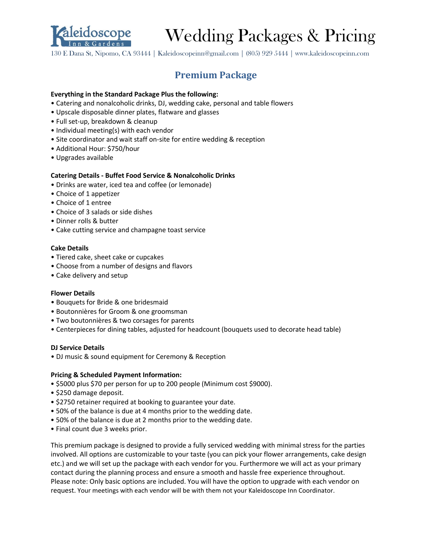

# Wedding Packages & Pricing

130 E Dana St, Nipomo, CA 93444 | Kaleidoscopeinn@gmail.com | (805) 929 5444 | www.kaleidoscopeinn.com

## **Premium Package**

### **Everything in the Standard Package Plus the following:**

- Catering and nonalcoholic drinks, DJ, wedding cake, personal and table flowers
- Upscale disposable dinner plates, flatware and glasses
- Full set-up, breakdown & cleanup
- Individual meeting(s) with each vendor
- Site coordinator and wait staff on-site for entire wedding & reception
- Additional Hour: \$750/hour
- Upgrades available

### **Catering Details - Buffet Food Service & Nonalcoholic Drinks**

- Drinks are water, iced tea and coffee (or lemonade)
- Choice of 1 appetizer
- Choice of 1 entree
- Choice of 3 salads or side dishes
- Dinner rolls & butter
- Cake cutting service and champagne toast service

### **Cake Details**

- Tiered cake, sheet cake or cupcakes
- Choose from a number of designs and flavors
- Cake delivery and setup

### **Flower Details**

- Bouquets for Bride & one bridesmaid
- Boutonnières for Groom & one groomsman
- Two boutonnières & two corsages for parents
- Centerpieces for dining tables, adjusted for headcount (bouquets used to decorate head table)

### **DJ Service Details**

• DJ music & sound equipment for Ceremony & Reception

### **Pricing & Scheduled Payment Information:**

- \$5000 plus \$70 per person for up to 200 people (Minimum cost \$9000).
- \$250 damage deposit.
- \$2750 retainer required at booking to guarantee your date.
- 50% of the balance is due at 4 months prior to the wedding date.
- 50% of the balance is due at 2 months prior to the wedding date.
- Final count due 3 weeks prior.

This premium package is designed to provide a fully serviced wedding with minimal stress for the parties involved. All options are customizable to your taste (you can pick your flower arrangements, cake design etc.) and we will set up the package with each vendor for you. Furthermore we will act as your primary contact during the planning process and ensure a smooth and hassle free experience throughout. Please note: Only basic options are included. You will have the option to upgrade with each vendor on request. Your meetings with each vendor will be with them not your Kaleidoscope Inn Coordinator.